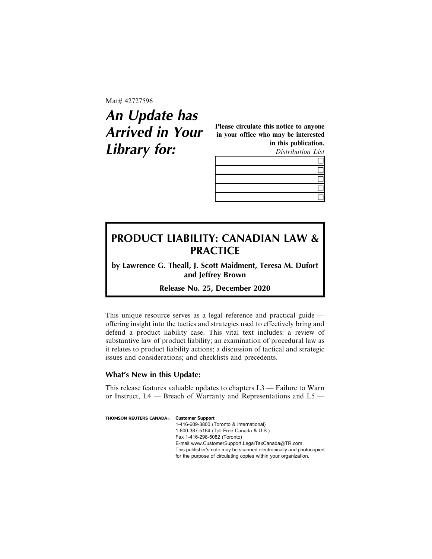Mat# 42727596

# **An Update has Arrived in Your Library for:**

Please circulate this notice to anyone in your office who may be interested in this publication. Distribution List



# **PRODUCT LIABILITY: CANADIAN LAW & PRACTICE**

**by Lawrence G. Theall, J. Scott Maidment, Teresa M. Dufort and Jeffrey Brown**

**Release No. 25, December 2020**

This unique resource serves as a legal reference and practical guide offering insight into the tactics and strategies used to effectively bring and defend a product liability case. This vital text includes: a review of substantive law of product liability; an examination of procedural law as it relates to product liability actions; a discussion of tactical and strategic issues and considerations; and checklists and precedents.

## **What's New in this Update:**

This release features valuable updates to chapters L3 — Failure to Warn or Instruct, L4 — Breach of Warranty and Representations and L5 —

| <b>THOMSON REUTERS CANADA®</b> | <b>Customer Support</b>                                             |
|--------------------------------|---------------------------------------------------------------------|
|                                | 1-416-609-3800 (Toronto & International)                            |
|                                | 1-800-387-5164 (Toll Free Canada & U.S.)                            |
|                                | Fax 1-416-298-5082 (Toronto)                                        |
|                                | E-mail www.CustomerSupport.LegalTaxCanada@TR.com                    |
|                                | This publisher's note may be scanned electronically and photocopied |
|                                | for the purpose of circulating copies within your organization.     |
|                                |                                                                     |